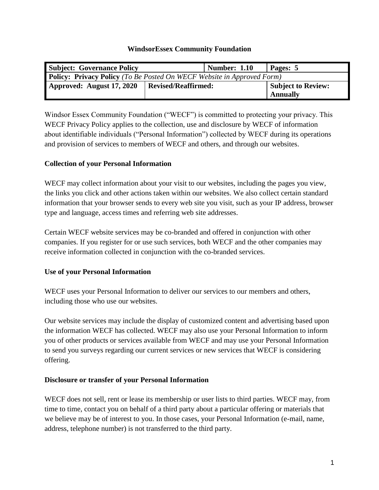#### **WindsorEssex Community Foundation**

| <b>Subject: Governance Policy</b>                                             |                     | <b>Number: 1.10</b> | Pages: 5           |
|-------------------------------------------------------------------------------|---------------------|---------------------|--------------------|
| <b>Policy: Privacy Policy</b> (To Be Posted On WECF Website in Approved Form) |                     |                     |                    |
| Approved: August 17, 2020                                                     | Revised/Reaffirmed: |                     | Subject to Review: |
|                                                                               |                     |                     | <b>Annually</b>    |

Windsor Essex Community Foundation ("WECF") is committed to protecting your privacy. This WECF Privacy Policy applies to the collection, use and disclosure by WECF of information about identifiable individuals ("Personal Information") collected by WECF during its operations and provision of services to members of WECF and others, and through our websites.

### **Collection of your Personal Information**

WECF may collect information about your visit to our websites, including the pages you view, the links you click and other actions taken within our websites. We also collect certain standard information that your browser sends to every web site you visit, such as your IP address, browser type and language, access times and referring web site addresses.

Certain WECF website services may be co-branded and offered in conjunction with other companies. If you register for or use such services, both WECF and the other companies may receive information collected in conjunction with the co-branded services.

# **Use of your Personal Information**

WECF uses your Personal Information to deliver our services to our members and others, including those who use our websites.

Our website services may include the display of customized content and advertising based upon the information WECF has collected. WECF may also use your Personal Information to inform you of other products or services available from WECF and may use your Personal Information to send you surveys regarding our current services or new services that WECF is considering offering.

### **Disclosure or transfer of your Personal Information**

WECF does not sell, rent or lease its membership or user lists to third parties. WECF may, from time to time, contact you on behalf of a third party about a particular offering or materials that we believe may be of interest to you. In those cases, your Personal Information (e-mail, name, address, telephone number) is not transferred to the third party.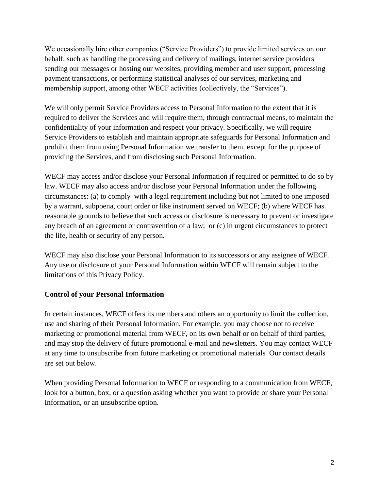We occasionally hire other companies ("Service Providers") to provide limited services on our behalf, such as handling the processing and delivery of mailings, internet service providers sending our messages or hosting our websites, providing member and user support, processing payment transactions, or performing statistical analyses of our services, marketing and membership support, among other WECF activities (collectively, the "Services").

We will only permit Service Providers access to Personal Information to the extent that it is required to deliver the Services and will require them, through contractual means, to maintain the confidentiality of your information and respect your privacy. Specifically, we will require Service Providers to establish and maintain appropriate safeguards for Personal Information and prohibit them from using Personal Information we transfer to them, except for the purpose of providing the Services, and from disclosing such Personal Information.

WECF may access and/or disclose your Personal Information if required or permitted to do so by law. WECF may also access and/or disclose your Personal Information under the following circumstances: (a) to comply with a legal requirement including but not limited to one imposed by a warrant, subpoena, court order or like instrument served on WECF; (b) where WECF has reasonable grounds to believe that such access or disclosure is necessary to prevent or investigate any breach of an agreement or contravention of a law; or (c) in urgent circumstances to protect the life, health or security of any person.

WECF may also disclose your Personal Information to its successors or any assignee of WECF. Any use or disclosure of your Personal Information within WECF will remain subject to the limitations of this Privacy Policy.

# **Control of your Personal Information**

In certain instances, WECF offers its members and others an opportunity to limit the collection, use and sharing of their Personal Information. For example, you may choose not to receive marketing or promotional material from WECF, on its own behalf or on behalf of third parties, and may stop the delivery of future promotional e-mail and newsletters. You may contact WECF at any time to unsubscribe from future marketing or promotional materials Our contact details are set out below.

When providing Personal Information to WECF or responding to a communication from WECF, look for a button, box, or a question asking whether you want to provide or share your Personal Information, or an unsubscribe option.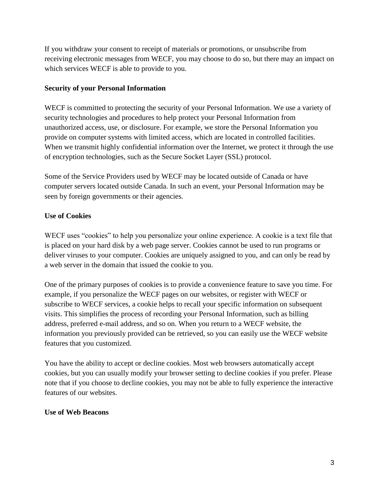If you withdraw your consent to receipt of materials or promotions, or unsubscribe from receiving electronic messages from WECF, you may choose to do so, but there may an impact on which services WECF is able to provide to you.

### **Security of your Personal Information**

WECF is committed to protecting the security of your Personal Information. We use a variety of security technologies and procedures to help protect your Personal Information from unauthorized access, use, or disclosure. For example, we store the Personal Information you provide on computer systems with limited access, which are located in controlled facilities. When we transmit highly confidential information over the Internet, we protect it through the use of encryption technologies, such as the Secure Socket Layer (SSL) protocol.

Some of the Service Providers used by WECF may be located outside of Canada or have computer servers located outside Canada. In such an event, your Personal Information may be seen by foreign governments or their agencies.

# **Use of Cookies**

WECF uses "cookies" to help you personalize your online experience. A cookie is a text file that is placed on your hard disk by a web page server. Cookies cannot be used to run programs or deliver viruses to your computer. Cookies are uniquely assigned to you, and can only be read by a web server in the domain that issued the cookie to you.

One of the primary purposes of cookies is to provide a convenience feature to save you time. For example, if you personalize the WECF pages on our websites, or register with WECF or subscribe to WECF services, a cookie helps to recall your specific information on subsequent visits. This simplifies the process of recording your Personal Information, such as billing address, preferred e-mail address, and so on. When you return to a WECF website, the information you previously provided can be retrieved, so you can easily use the WECF website features that you customized.

You have the ability to accept or decline cookies. Most web browsers automatically accept cookies, but you can usually modify your browser setting to decline cookies if you prefer. Please note that if you choose to decline cookies, you may not be able to fully experience the interactive features of our websites.

### **Use of Web Beacons**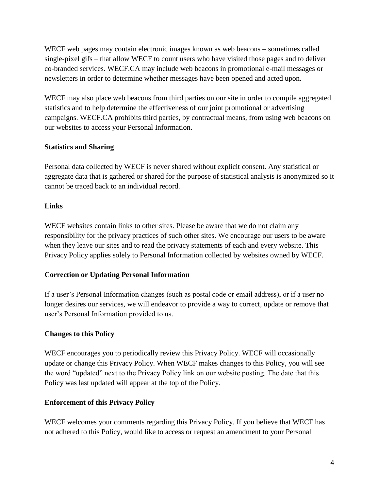WECF web pages may contain electronic images known as web beacons – sometimes called single-pixel gifs – that allow WECF to count users who have visited those pages and to deliver co-branded services. WECF.CA may include web beacons in promotional e-mail messages or newsletters in order to determine whether messages have been opened and acted upon.

WECF may also place web beacons from third parties on our site in order to compile aggregated statistics and to help determine the effectiveness of our joint promotional or advertising campaigns. WECF.CA prohibits third parties, by contractual means, from using web beacons on our websites to access your Personal Information.

# **Statistics and Sharing**

Personal data collected by WECF is never shared without explicit consent. Any statistical or aggregate data that is gathered or shared for the purpose of statistical analysis is anonymized so it cannot be traced back to an individual record.

### **Links**

WECF websites contain links to other sites. Please be aware that we do not claim any responsibility for the privacy practices of such other sites. We encourage our users to be aware when they leave our sites and to read the privacy statements of each and every website. This Privacy Policy applies solely to Personal Information collected by websites owned by WECF.

### **Correction or Updating Personal Information**

If a user's Personal Information changes (such as postal code or email address), or if a user no longer desires our services, we will endeavor to provide a way to correct, update or remove that user's Personal Information provided to us.

### **Changes to this Policy**

WECF encourages you to periodically review this Privacy Policy. WECF will occasionally update or change this Privacy Policy. When WECF makes changes to this Policy, you will see the word "updated" next to the Privacy Policy link on our website posting. The date that this Policy was last updated will appear at the top of the Policy.

### **Enforcement of this Privacy Policy**

WECF welcomes your comments regarding this Privacy Policy. If you believe that WECF has not adhered to this Policy, would like to access or request an amendment to your Personal